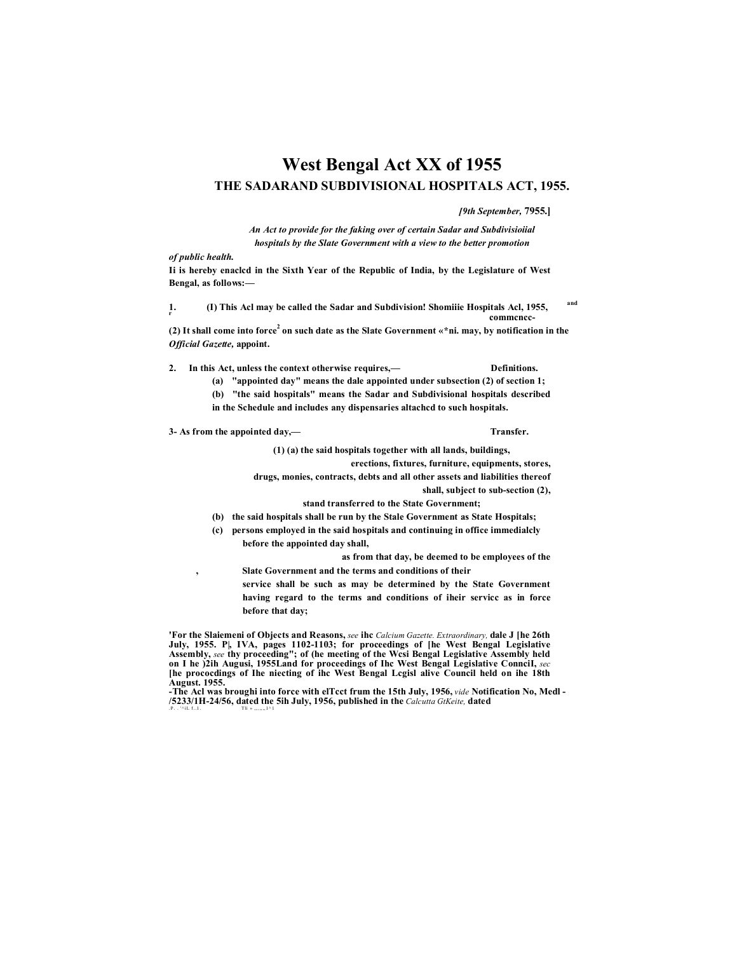# **West Bengal Act XX of 1955 THE SADARAND SUBDIVISIONAL HOSPITALS ACT, 1955.**

*[9th September,* **7955.]**

*An Act to provide for the faking over of certain Sadar and Subdivisioiial hospitals by the Slate Government with a view to the better promotion*

*of public health.*

**Ii is hereby enaclcd in the Sixth Year of the Republic of India, by the Legislature of West Bengal, as follows:—**

**1. (I) This Acl may be called the Sadar and Subdivision! Shomiiie Hospitals Acl, 1955, and r commence**-

**(2) It shall come into force<sup>2</sup> on such date as the Slate Government «\*ni. may, by notification in the** *Official Gazette,* **appoint.**

**2. In this Act, unless the context otherwise requires,— Definitions.**

**(a) "appointed day" means the dale appointed under subsection (2) of section 1;**

**(b) "the said hospitals" means the Sadar and Subdivisional hospitals described in the Schedule and includes any dispensaries altachcd to such hospitals.**

**3- As from the appointed day,— Transfer.**

**(1) (a) the said hospitals together with all lands, buildings,**

**erections, fixtures, furniture, equipments, stores,**

**drugs, monies, contracts, debts and all other assets and liabilities thereof** 

**shall, subject to sub-section (2),**

#### **stand transferred to the State Government;**

- **(b) the said hospitals shall be run by the Stale Government as State Hospitals;**
- **(c) persons employed in the said hospitals and continuing in office immedialcly before the appointed day shall,**

**as from that day, be deemed to be employees of the , Slate Government and the terms and conditions of their**

**service shall be such as may be determined by the State Government having regard to the terms and conditions of iheir servicc as in force before that day;**

**'For the Slaiemeni of Objects and Reasons,** *see* **ihc** *Calcium Gazette. Extraordinary,* **dale J [he 26th July, 1955. P|, IVA, pages 1102-1103; for proceedings of [he West Bengal Legislative Assembly,** *see* **thy proceeding"; of (he meeting of the Wcsi Bengal Legislative Assembly held on I he )2ih Augusi, 1955Land for proceedings of Ihc West Bengal Legislative ConnciI,** *sec* **[he prococdings of Ihe niecting of ihc West Bengal Lcgisl alive Council held on ihe 18th August. 1955.**

**-The Acl was broughi into force with elTcct frum the 15th July, 1956,** *vide* **Notification No, Medl - /5233/1H-24/56, dated the 5ih July, 1956, published in the** *Calcutta GtKeite,* **dated** . P. . '^iL f.. 1. Tli » ,,,,,,,,1^1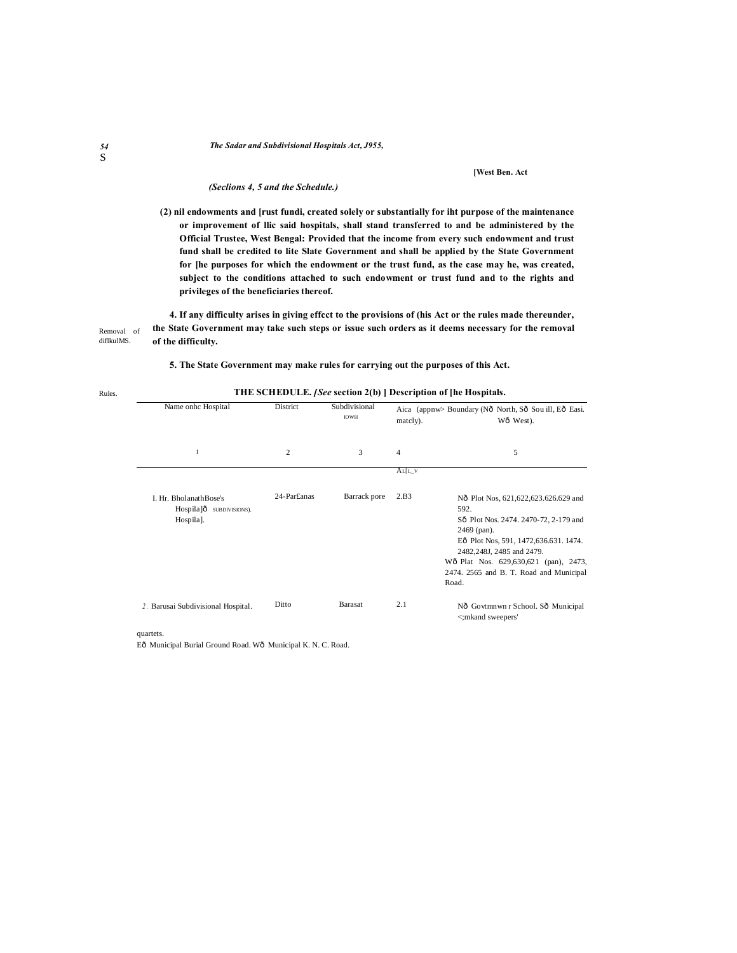#### *The Sadar and Subdivisional Hospitals Act, J955,*

#### **[West Ben. Act**

#### *(Seclions 4, 5 and the Schedule.)*

**(2) nil endowments and [rust fundi, created solely or substantially for iht purpose of the maintenance or improvement of llic said hospitals, shall stand transferred to and be administered by the Official Trustee, West Bengal: Provided that the income from every such endowment and trust fund shall be credited to lite Slate Government and shall be applied by the State Government for [he purposes for which the endowment or the trust fund, as the case may he, was created, subject to the conditions attached to such endowment or trust fund and to the rights and privileges of the beneficiaries thereof.**

Removal of diflkulMS. **4. If any difficulty arises in giving effcct to the provisions of (his Act or the rules made thereunder, the State Government may take such steps or issue such orders as it deems necessary for the removal of the difficulty.**

#### **5. The State Government may make rules for carrying out the purposes of this Act.**

| Name onhc Hospital                                             | District       | Subdivisional<br><b>IOWH</b> | matcly).       | Aica (appnw> Boundary (Nô North, Sô Sou ill, Eô Easi.<br>Wô West).                                                                                                                                                                                                        |
|----------------------------------------------------------------|----------------|------------------------------|----------------|---------------------------------------------------------------------------------------------------------------------------------------------------------------------------------------------------------------------------------------------------------------------------|
| 1                                                              | $\overline{2}$ | 3                            | $\overline{4}$ | 5                                                                                                                                                                                                                                                                         |
|                                                                |                |                              | $AL[L_V$       |                                                                                                                                                                                                                                                                           |
| I. Hr. BholanathBose's<br>Hospila]ô subprusions).<br>Hospila]. | 24-Par£anas    | Barrack pore                 | 2.B3           | Nô Plot Nos, 621,622,623.626.629 and<br>592.<br>Sô Plot Nos. 2474. 2470-72, 2-179 and<br>2469 (pan).<br>Eô Plot Nos, 591, 1472, 636. 631. 1474.<br>2482,248J, 2485 and 2479.<br>Wô Plat Nos. 629,630,621 (pan), 2473,<br>2474. 2565 and B. T. Road and Municipal<br>Road. |
| 2. Barusai Subdivisional Hospital.                             | Ditto          | Barasat                      | 2.1            | Nô Govtmnwn r School. Sô Municipal<br><; mkand sweepers'                                                                                                                                                                                                                  |

## **THE SCHEDULE.** *[See* **section 2(b) ] Description of [he Hospitals.**

quartets.

Eô Municipal Burial Ground Road. Wô Municipal K. N. C. Road.

Rules.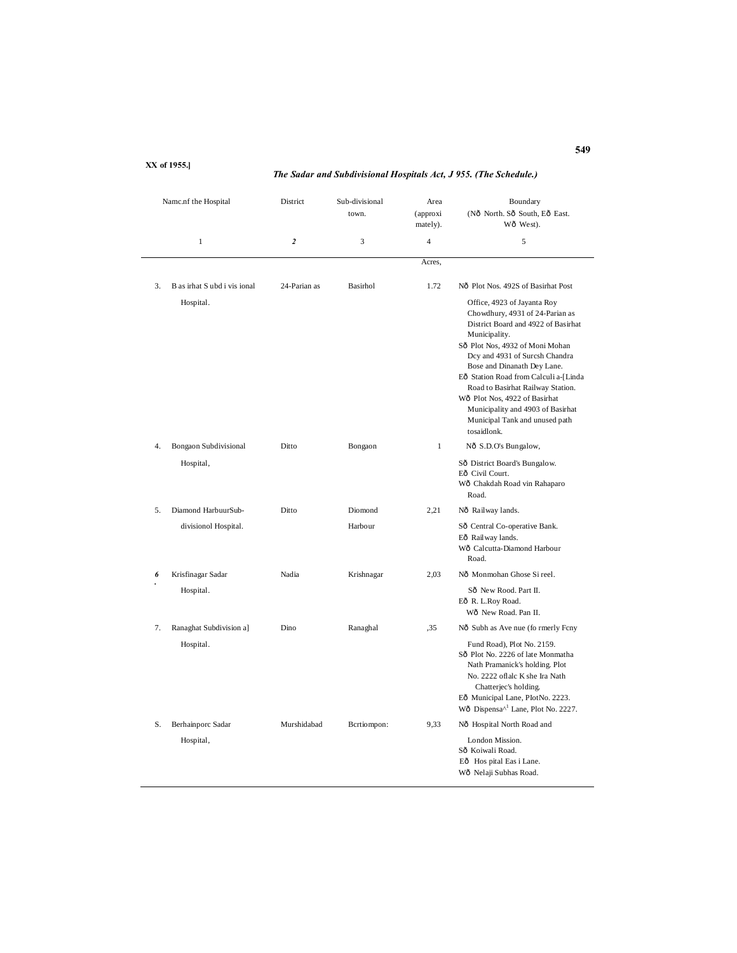#### Namc.nf the Hospital District Sub-divisional Area Boundary town. (approxi (Nô North. Sô South, Eô East. mately). Wô West). 1 **2** 3 4 5 Acres, 3. B as irhat S ubd i vis ional 24-Parian as Basirhol 1.72 No Plot Nos. 492S of Basirhat Post Hospital. Office, 4923 of Jayanta Roy Chowdhury, 4931 of 24-Parian as District Board and 4922 of Basirhat Municipality. Sô Plot Nos, 4932 of Moni Mohan Dcy and 4931 of Surcsh Chandra Bose and Dinanath Dey Lane. Eô Station Road from Calculi a-[Linda Road to Basirhat Railway Station. Wô Plot Nos, 4922 of Basirhat Municipality and 4903 of Basirhat Municipal Tank and unused path tosaidlonk. 4. Bongaon Subdivisional Ditto Bongaon 1 Nô S.D.O's Bungalow, Hospital, Sô District Board's Bungalow. Eô Civil Court. Wô Chakdah Road vin Rahaparo Road. 5. Diamond HarbuurSub- Ditto Diomond 2,21 Nô Railway lands. divisionol Hospital. Harbour Sô Central Co-operative Bank. Eô Railway lands. Wô Calcutta-Diamond Harbour Road. *6 .* Krisfinagar Sadar Nadia Krishnagar 2,03 <sup>N</sup>—Monmohan Ghose Si reel. Sô New Rood. Part II. Eô R. L.Roy Road. Wô New Road. Pan II. 7. Ranaghat Subdivision a] Dino Ranaghal ,35 Nô Subh as Ave nue (fo rmerly Fcny Hospital. Fund Road), Plot No. 2159. Sô Plot No. 2226 of late Monmatha Nath Pramanick's holding. Plot No. 2222 oflalc K she Ira Nath Chatterjec's holding. Eô Municipal Lane, PIotNo. 2223. Wô Dispensa<sup> $\wedge$ 1</sup> Lane, Plot No. 2227. S. Berhainporc Sadar Murshidabad Bcrtiompon: 9,33 Nô Hospital North Road and Hospital, London Mission. Sô Koiwali Road. Eô Hos pital Eas i Lane. Wô Nelaji Subhas Road.

**XX of 1955.]**

#### *The Sadar and Subdivisional Hospitals Act, J 955. (The Schedule.)*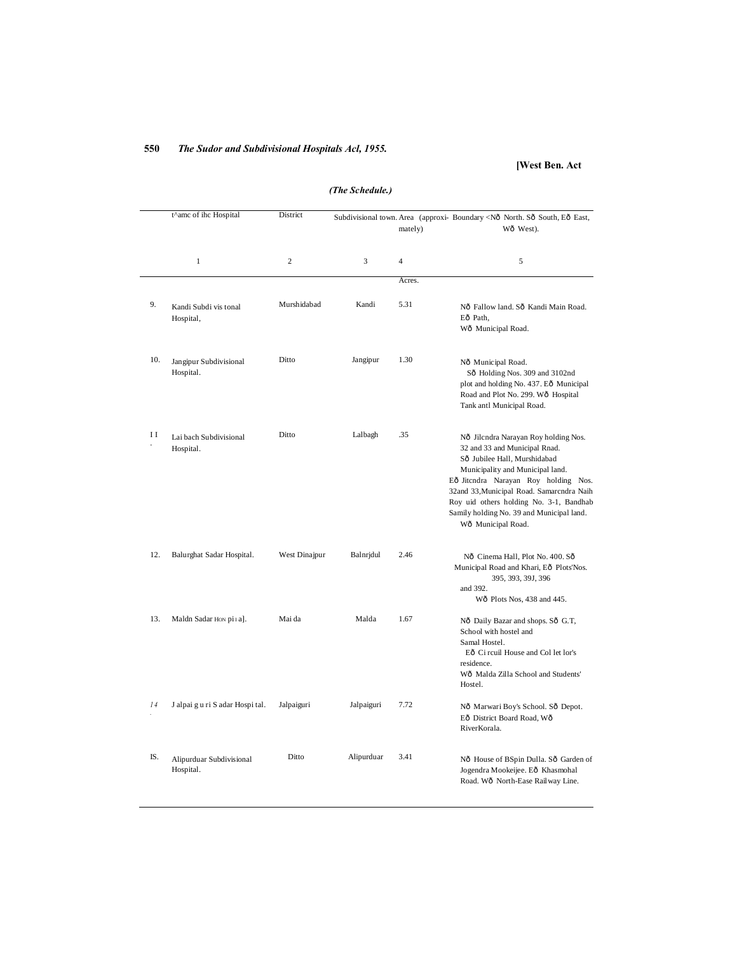## **550** *The Sudor and Subdivisional Hospitals Acl, 1955.*

## **[West Ben. Act**

|     | t^amc of ihc Hospital                 | District       |            |                | Subdivisional town. Area (approxi- Boundary <nô east,<="" eô="" north.="" south,="" sô="" th=""></nô>                                                                                                                                                                                                                                        |
|-----|---------------------------------------|----------------|------------|----------------|----------------------------------------------------------------------------------------------------------------------------------------------------------------------------------------------------------------------------------------------------------------------------------------------------------------------------------------------|
|     |                                       |                |            | mately)        | Wô West).                                                                                                                                                                                                                                                                                                                                    |
|     | $\mathbf{1}$                          | $\overline{c}$ | 3          | $\overline{4}$ | 5                                                                                                                                                                                                                                                                                                                                            |
|     |                                       |                |            | Acres.         |                                                                                                                                                                                                                                                                                                                                              |
| 9.  | Kandi Subdi vis tonal<br>Hospital,    | Murshidabad    | Kandi      | 5.31           | Nô Fallow land. Sô Kandi Main Road.<br>Eô Path.<br>Wô Municipal Road.                                                                                                                                                                                                                                                                        |
| 10. | Jangipur Subdivisional<br>Hospital.   | Ditto          | Jangipur   | 1.30           | Nô Municipal Road.<br>Sô Holding Nos. 309 and 3102nd<br>plot and holding No. 437. Eô Municipal<br>Road and Plot No. 299. Wô Hospital<br>Tank antl Municipal Road.                                                                                                                                                                            |
| ΙI  | Lai bach Subdivisional<br>Hospital.   | Ditto          | Lalbagh    | .35            | Nô Jilcndra Narayan Roy holding Nos.<br>32 and 33 and Municipal Rnad.<br>Sô Jubilee Hall, Murshidabad<br>Municipality and Municipal land.<br>Eô Jitendra Narayan Roy holding Nos.<br>32and 33, Municipal Road. Samarcndra Naih<br>Roy uid others holding No. 3-1, Bandhab<br>Samily holding No. 39 and Municipal land.<br>Wô Municipal Road. |
| 12. | Balurghat Sadar Hospital.             | West Dinajpur  | Balnrjdul  | 2.46           | Nô Cinema Hall, Plot No. 400. Sô<br>Municipal Road and Khari, Eô Plots'Nos.<br>395, 393, 39J, 396<br>and 392.<br>Wô Plots Nos, 438 and 445.                                                                                                                                                                                                  |
| 13. | Maldn Sadar Hon pi I a].              | Mai da         | Malda      | 1.67           | Nô Daily Bazar and shops. Sô G.T,<br>School with hostel and<br>Samal Hostel.<br>Eô Ci rcuil House and Col let lor's<br>residence.<br>Wô Malda Zilla School and Students'<br>Hostel.                                                                                                                                                          |
| 14  | J alpai gu ri S adar Hospi tal.       | Jalpaiguri     | Jalpaiguri | 7.72           | Nô Marwari Boy's School. Sô Depot.<br>Eô District Board Road, Wô<br>RiverKorala.                                                                                                                                                                                                                                                             |
| IS. | Alipurduar Subdivisional<br>Hospital. | Ditto          | Alipurduar | 3.41           | Nô House of BSpin Dulla. Sô Garden of<br>Jogendra Mookeijee. Eô Khasmohal<br>Road. Wô North-Ease Railway Line.                                                                                                                                                                                                                               |

*(The Schedule.)*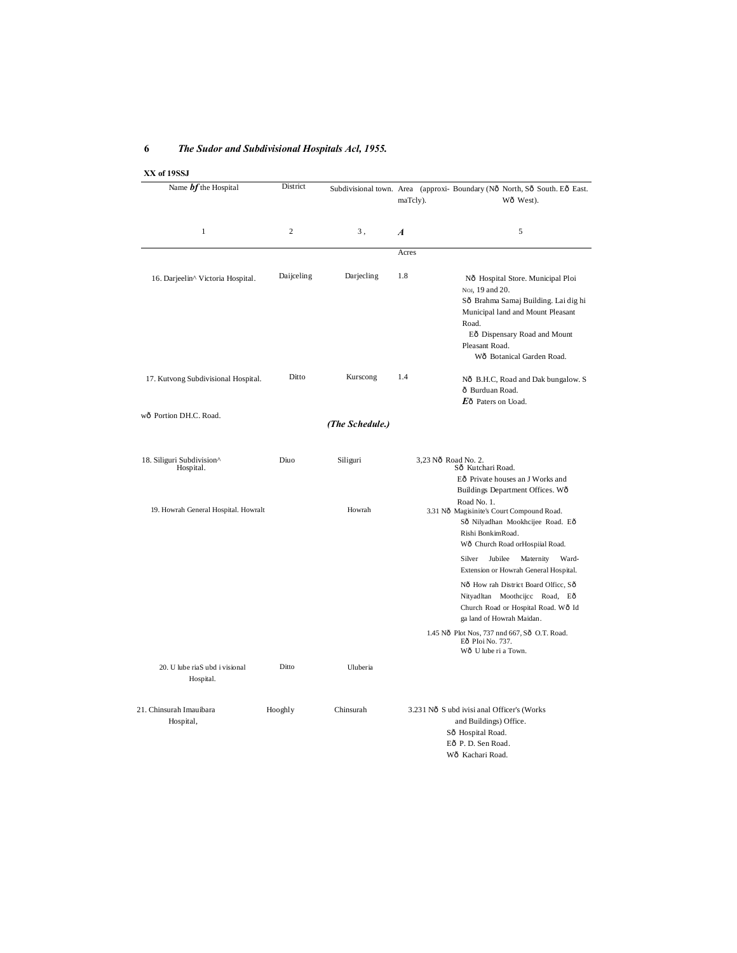## **6** *The Sudor and Subdivisional Hospitals Acl, 1955.*

## **XX of 19SSJ**

| Name $bf$ the Hospital                      | District       |                 | maTcly).         | Subdivisional town. Area (approxi- Boundary (Nô North, Sô South. Eô East.<br>Wô West).                                                                                                                                                                                                                                                                                                                                                                                              |
|---------------------------------------------|----------------|-----------------|------------------|-------------------------------------------------------------------------------------------------------------------------------------------------------------------------------------------------------------------------------------------------------------------------------------------------------------------------------------------------------------------------------------------------------------------------------------------------------------------------------------|
| 1                                           | $\overline{c}$ | 3,              | $\boldsymbol{A}$ | 5                                                                                                                                                                                                                                                                                                                                                                                                                                                                                   |
|                                             |                |                 | Acres            |                                                                                                                                                                                                                                                                                                                                                                                                                                                                                     |
| 16. Darjeelin^ Victoria Hospital.           | Daijceling     | Darjecling      | 1.8              | Nô Hospital Store. Municipal Ploi<br>NoJ, 19 and 20.<br>Sô Brahma Samaj Building. Lai dighi<br>Municipal land and Mount Pleasant<br>Road.<br>Eô Dispensary Road and Mount<br>Pleasant Road.<br>Wô Botanical Garden Road.                                                                                                                                                                                                                                                            |
| 17. Kutvong Subdivisional Hospital.         | Ditto          | Kurscong        | 1.4              | Nô B.H.C, Road and Dak bungalow. S<br>ô Burduan Road.<br>$E_0$ Paters on Uoad.                                                                                                                                                                                                                                                                                                                                                                                                      |
| wô Portion DH.C. Road.                      |                | (The Schedule.) |                  |                                                                                                                                                                                                                                                                                                                                                                                                                                                                                     |
| 18. Siliguri Subdivision^<br>Hospital.      | Diuo           | Siliguri        |                  | 3,23 Nô Road No. 2.<br>Sô Kutchari Road.<br>Eô Private houses an J Works and<br>Buildings Department Offices. Wô                                                                                                                                                                                                                                                                                                                                                                    |
| 19. Howrah General Hospital. Howralt        |                | Howrah          |                  | Road No. 1.<br>3.31 Nô Magisinite's Court Compound Road.<br>Sô Nilyadhan Mookhcijee Road. Eô<br>Rishi BonkimRoad.<br>Wô Church Road or Hospiial Road.<br>Jubilee<br>Maternity<br>Ward-<br>Silver<br>Extension or Howrah General Hospital.<br>Nô How rah District Board Olfice, Sô<br>Nityadltan Moothcijcc Road, Eô<br>Church Road or Hospital Road. Wô Id<br>ga land of Howrah Maidan.<br>1.45 Nô Plot Nos, 737 nnd 667, Sô O.T. Road.<br>Eô Ploi No. 737.<br>Wô U lube ri a Town. |
| 20. U lube riaS ubd i visional<br>Hospital. | Ditto          | Uluberia        |                  |                                                                                                                                                                                                                                                                                                                                                                                                                                                                                     |
| 21. Chinsurah Imauibara<br>Hospital,        | Hooghly        | Chinsurah       |                  | 3.231 Nô S ubd ivisi anal Officer's (Works<br>and Buildings) Office.<br>Sô Hospital Road.<br>Eô P. D. Sen Road.<br>Wô Kachari Road.                                                                                                                                                                                                                                                                                                                                                 |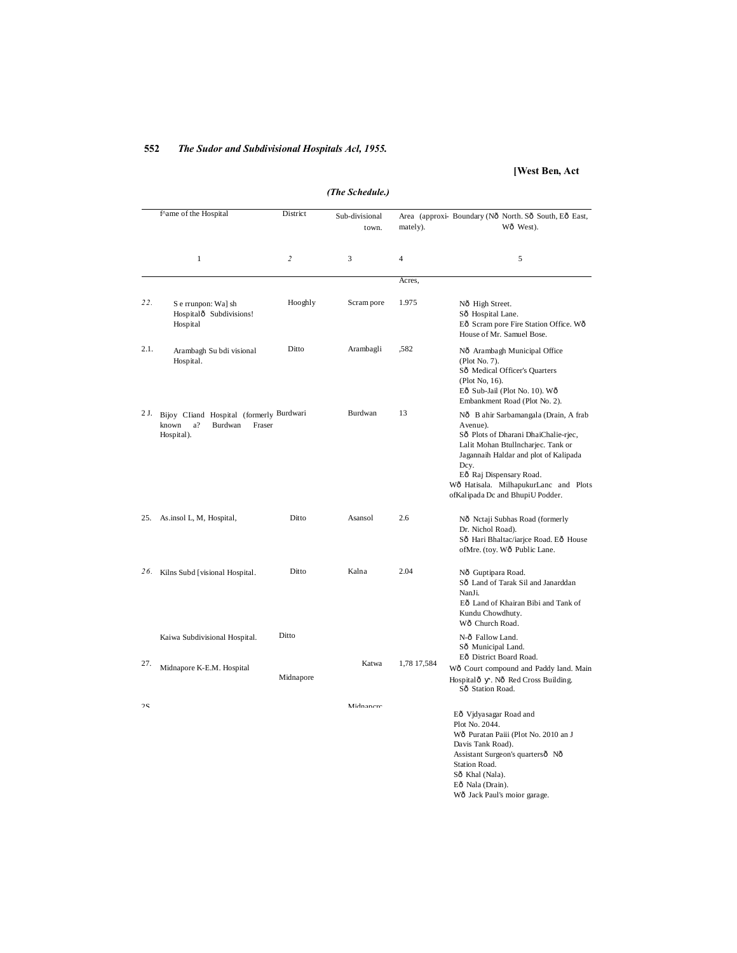## **552** *The Sudor and Subdivisional Hospitals Acl, 1955.*

## **[West Ben, Act**

| (The Scheunie, ) |                                                                                            |                         |                         |                |                                                                                                                                                                                                                                                                                          |  |
|------------------|--------------------------------------------------------------------------------------------|-------------------------|-------------------------|----------------|------------------------------------------------------------------------------------------------------------------------------------------------------------------------------------------------------------------------------------------------------------------------------------------|--|
|                  | f^ame of the Hospital                                                                      | District                | Sub-divisional<br>town. | mately).       | Area (approxi- Boundary (Nô North. Sô South, Eô East,<br>Wô West).                                                                                                                                                                                                                       |  |
|                  | $\mathbf{1}$                                                                               | $\overline{\mathbf{c}}$ | 3                       | $\overline{4}$ | 5                                                                                                                                                                                                                                                                                        |  |
|                  |                                                                                            |                         |                         | Acres,         |                                                                                                                                                                                                                                                                                          |  |
| 22.              | S e rrunpon: Wa] sh<br>Hospitalô Subdivisions!<br>Hospital                                 | Hooghly                 | Scram pore              | 1.975          | Nô High Street.<br>Sô Hospital Lane.<br>Eô Scram pore Fire Station Office. Wô<br>House of Mr. Samuel Bose.                                                                                                                                                                               |  |
| 2.1.             | Arambagh Su bdi visional<br>Hospital.                                                      | Ditto                   | Arambagli               | ,582           | Nô Arambagh Municipal Office<br>(Plot No. 7).<br>Sô Medical Officer's Quarters<br>(Plot No, 16).<br>Eô Sub-Jail (Plot No. 10). Wô<br>Embankment Road (Plot No. 2).                                                                                                                       |  |
| 2 J.             | Bijoy Cliand Hospital (formerly Burdwari<br>known<br>a?<br>Burdwan<br>Fraser<br>Hospital). |                         | Burdwan                 | 13             | Nô B ahir Sarbamangala (Drain, A frab<br>Avenue).<br>Sô Plots of Dharani DhaiChalie-rjec,<br>Lalit Mohan Btullncharjec. Tank or<br>Jagannaih Haldar and plot of Kalipada<br>Dcy.<br>Eô Raj Dispensary Road.<br>Wô Hatisala. MilhapukurLanc and Plots<br>ofKalipada Dc and BhupiU Podder. |  |
| 25.              | As insol L, M, Hospital,                                                                   | Ditto                   | Asansol                 | 2.6            | Nô Nctaji Subhas Road (formerly<br>Dr. Nichol Road).<br>Sô Hari Bhaltac/iarjce Road. Eô House<br>ofMre. (toy. Wô Public Lane.                                                                                                                                                            |  |
| 26.              | Kilns Subd [visional Hospital.                                                             | Ditto                   | Kalna                   | 2.04           | Nô Guptipara Road.<br>Sô Land of Tarak Sil and Janarddan<br>NanJi.<br>Eô Land of Khairan Bibi and Tank of<br>Kundu Chowdhuty.<br>Wô Church Road.                                                                                                                                         |  |
|                  | Kaiwa Subdivisional Hospital.                                                              | Ditto                   |                         |                | N-ô Fallow Land.<br>Sô Municipal Land.                                                                                                                                                                                                                                                   |  |
| 27.              | Midnapore K-E.M. Hospital                                                                  | Midnapore               | Katwa                   | 1,78 17,584    | Eô District Board Road.<br>Wô Court compound and Paddy land. Main<br>Hospitalô<br>. Nô Red Cross Building.<br>Sô Station Road.                                                                                                                                                           |  |
| 2S               |                                                                                            |                         | Midnanere               |                | Eô Vjdyasagar Road and<br>Plot No. 2044.<br>Wô Puratan Paiii (Plot No. 2010 an J<br>Davis Tank Road).<br>Assistant Surgeon's quartersô Nô<br>Station Road.<br>Sô Khal (Nala).<br>Eô Nala (Drain).<br>Wô Jack Paul's moior garage.                                                        |  |

*(The Schedule.)*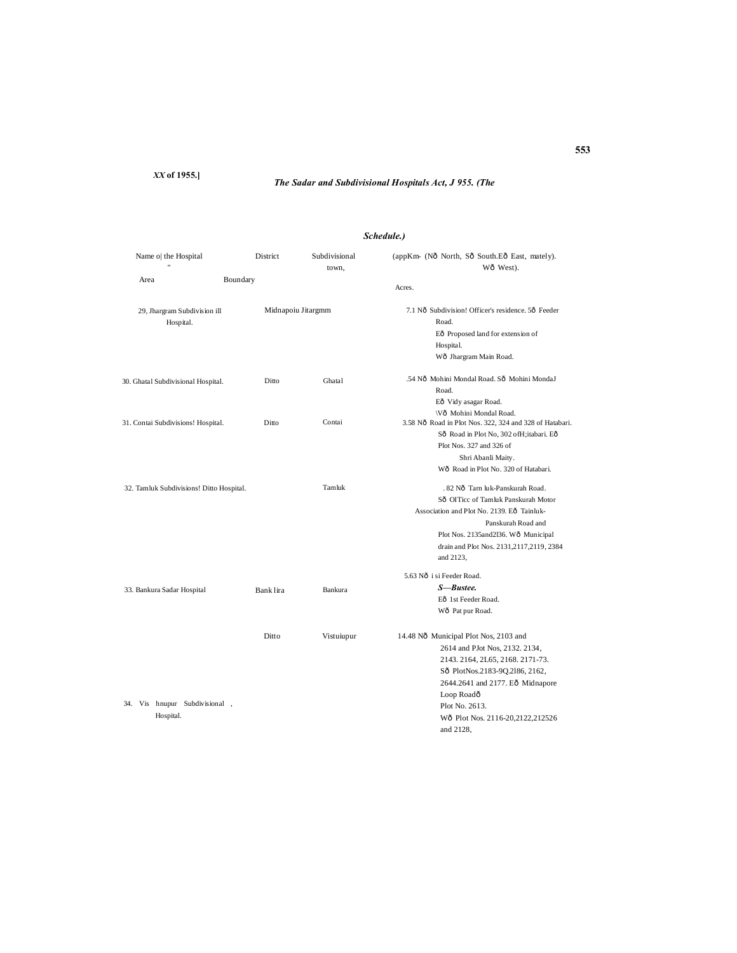*XX* **of 1955.]**

## *The Sadar and Subdivisional Hospitals Act, J 955. (The*

## *Schedule.)*

| Name o  the Hospital                       | District  | Subdivisional<br>town, | (appKm- (Nô North, Sô South.Eô East, mately).<br>Wô West).                                                                                                                                                                                                         |  |  |
|--------------------------------------------|-----------|------------------------|--------------------------------------------------------------------------------------------------------------------------------------------------------------------------------------------------------------------------------------------------------------------|--|--|
| Boundary<br>Area                           |           |                        | Acres.                                                                                                                                                                                                                                                             |  |  |
| 29, Jhargram Subdivision ill<br>Hospital.  |           | Midnapoiu Jitargmm     | 7.1 Nô Subdivision! Officer's residence, 5ô Feeder<br>Road.<br>Eô Proposed land for extension of<br>Hospital.<br>Wô Jhargram Main Road.                                                                                                                            |  |  |
| 30. Ghatal Subdivisional Hospital.         | Ditto     | Ghatal                 | .54 Nô Mohini Mondal Road, Sô Mohini MondaJ<br>Road.<br>Eô Vidy asagar Road.                                                                                                                                                                                       |  |  |
| 31. Contai Subdivisions! Hospital.         | Ditto     | Contai                 | \Vô Mohini Mondal Road.<br>3.58 Nô Road in Plot Nos. 322, 324 and 328 of Hatabari.<br>Sô Road in Plot No, 302 ofH;itabari. Eô<br>Plot Nos. 327 and 326 of<br>Shri Abanli Maity.<br>Wô Road in Plot No. 320 of Hatabari.                                            |  |  |
| 32. Tamluk Subdivisions! Ditto Hospital.   |           | Tamluk                 | . 82 Nô Tarn luk-Panskurah Road.<br>Sô OITicc of Tamluk Panskurah Motor<br>Association and Plot No. 2139. Eô Tainluk-<br>Panskurah Road and<br>Plot Nos. 2135and2l36. Wô Municipal<br>drain and Plot Nos. 2131,2117,2119, 2384<br>and 2123,                        |  |  |
| 33. Bankura Sadar Hospital                 | Bank lira | Bankura                | 5.63 Nô i si Feeder Road.<br>S—Bustee.<br>Eô 1st Feeder Road.<br>Wô Pat pur Road.                                                                                                                                                                                  |  |  |
| 34. Vis hnupur Subdivisional,<br>Hospital. | Ditto     | Vistuiupur             | 14.48 Nô Municipal Plot Nos, 2103 and<br>2614 and PJot Nos, 2132. 2134,<br>2143. 2164, 2L65, 2168. 2171-73.<br>Sô PlotNos.2183-9Q.2186, 2162,<br>2644.2641 and 2177. Eô Midnapore<br>Loop Roadô<br>Plot No. 2613.<br>Wô Plot Nos. 2116-20,2122,212526<br>and 2128, |  |  |

#### **553**